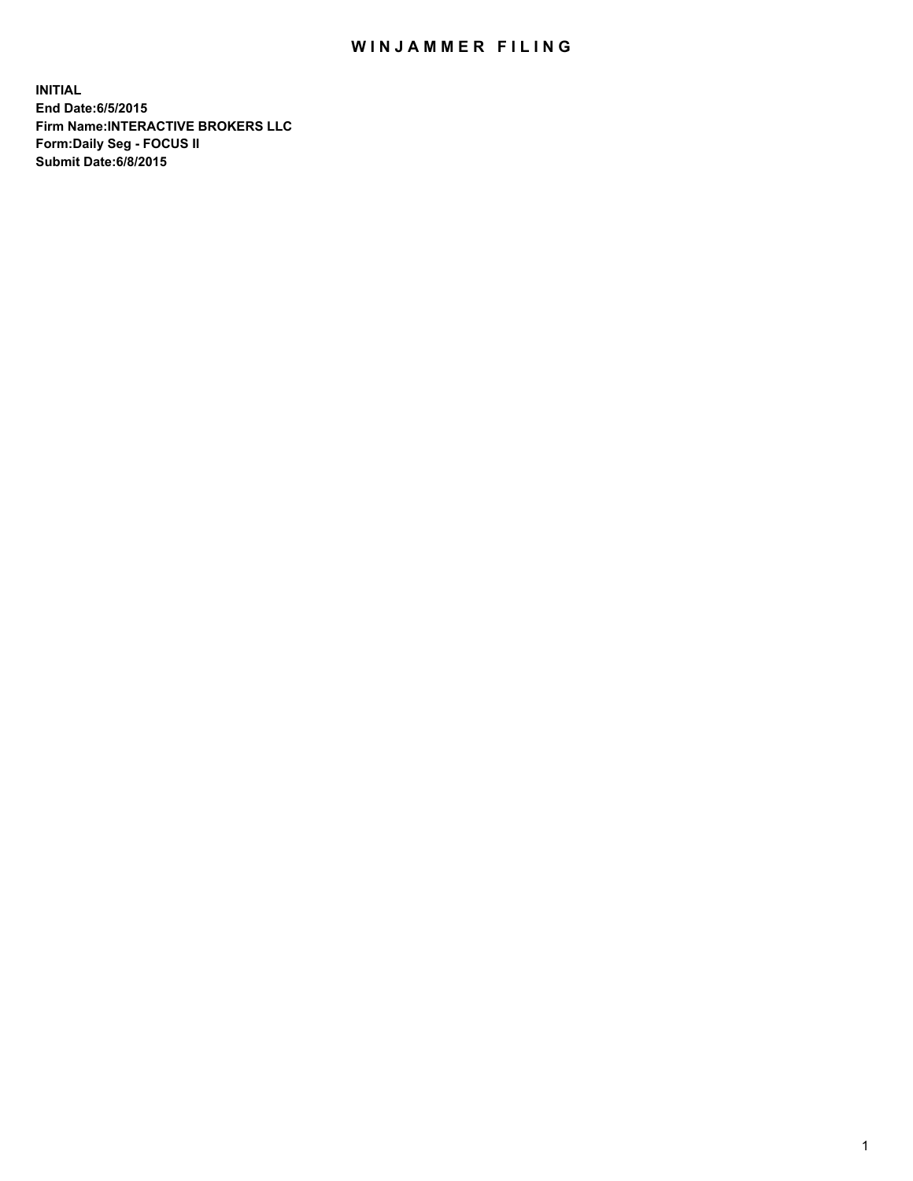## WIN JAMMER FILING

**INITIAL End Date:6/5/2015 Firm Name:INTERACTIVE BROKERS LLC Form:Daily Seg - FOCUS II Submit Date:6/8/2015**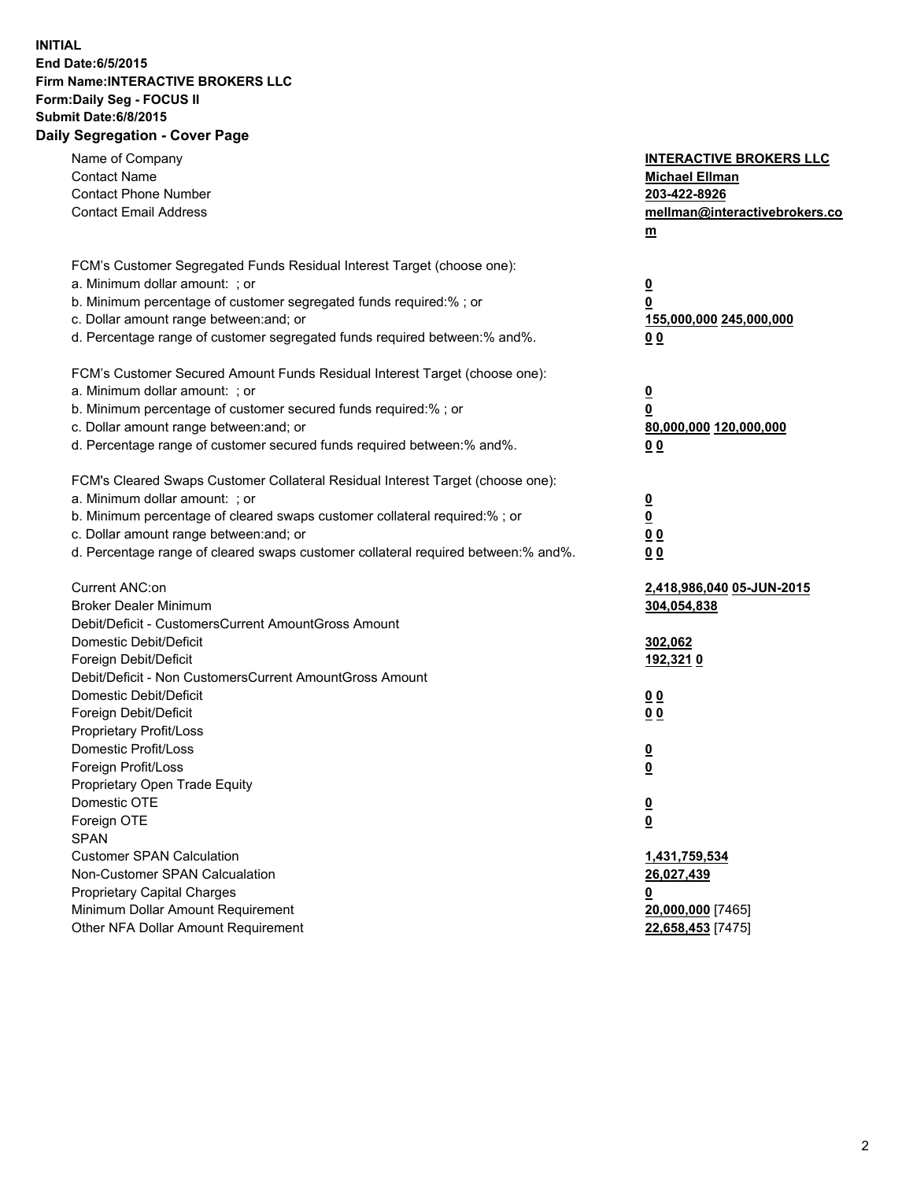## **INITIAL End Date:6/5/2015 Firm Name:INTERACTIVE BROKERS LLC Form:Daily Seg - FOCUS II Submit Date:6/8/2015 Daily Segregation - Cover Page**

| Name of Company                                                                   | <b>INTERACTIVE BROKERS LLC</b> |
|-----------------------------------------------------------------------------------|--------------------------------|
| <b>Contact Name</b>                                                               | <b>Michael Ellman</b>          |
| <b>Contact Phone Number</b>                                                       | 203-422-8926                   |
| <b>Contact Email Address</b>                                                      | mellman@interactivebrokers.co  |
|                                                                                   | $\underline{\mathbf{m}}$       |
| FCM's Customer Segregated Funds Residual Interest Target (choose one):            |                                |
| a. Minimum dollar amount: ; or                                                    | $\overline{\mathbf{0}}$        |
| b. Minimum percentage of customer segregated funds required:% ; or                | 0                              |
| c. Dollar amount range between: and; or                                           | 155,000,000 245,000,000        |
| d. Percentage range of customer segregated funds required between:% and%.         | 00                             |
| FCM's Customer Secured Amount Funds Residual Interest Target (choose one):        |                                |
| a. Minimum dollar amount: ; or                                                    | $\overline{\mathbf{0}}$        |
| b. Minimum percentage of customer secured funds required:% ; or                   | 0                              |
| c. Dollar amount range between: and; or                                           | 80,000,000 120,000,000         |
| d. Percentage range of customer secured funds required between:% and%.            | 00                             |
|                                                                                   |                                |
| FCM's Cleared Swaps Customer Collateral Residual Interest Target (choose one):    |                                |
| a. Minimum dollar amount: ; or                                                    | $\overline{\mathbf{0}}$        |
| b. Minimum percentage of cleared swaps customer collateral required:% ; or        | $\overline{\mathbf{0}}$        |
| c. Dollar amount range between: and; or                                           | 0 <sub>0</sub>                 |
| d. Percentage range of cleared swaps customer collateral required between:% and%. | 0 <sub>0</sub>                 |
| Current ANC:on                                                                    | 2,418,986,040 05-JUN-2015      |
| <b>Broker Dealer Minimum</b>                                                      | 304,054,838                    |
| Debit/Deficit - CustomersCurrent AmountGross Amount                               |                                |
| Domestic Debit/Deficit                                                            | 302,062                        |
| Foreign Debit/Deficit                                                             | 192,3210                       |
| Debit/Deficit - Non CustomersCurrent AmountGross Amount                           |                                |
| Domestic Debit/Deficit                                                            | 0 <sub>0</sub>                 |
| Foreign Debit/Deficit                                                             | 0 <sub>0</sub>                 |
| Proprietary Profit/Loss                                                           |                                |
| Domestic Profit/Loss                                                              | $\overline{\mathbf{0}}$        |
| Foreign Profit/Loss                                                               | $\underline{\mathbf{0}}$       |
| Proprietary Open Trade Equity                                                     |                                |
| Domestic OTE                                                                      | <u>0</u>                       |
| Foreign OTE                                                                       | <u>0</u>                       |
| <b>SPAN</b>                                                                       |                                |
| <b>Customer SPAN Calculation</b>                                                  | 1,431,759,534                  |
| Non-Customer SPAN Calcualation                                                    | 26,027,439                     |
| Proprietary Capital Charges                                                       | <u>0</u>                       |
| Minimum Dollar Amount Requirement                                                 | 20,000,000 [7465]              |
| Other NFA Dollar Amount Requirement                                               | 22,658,453 [7475]              |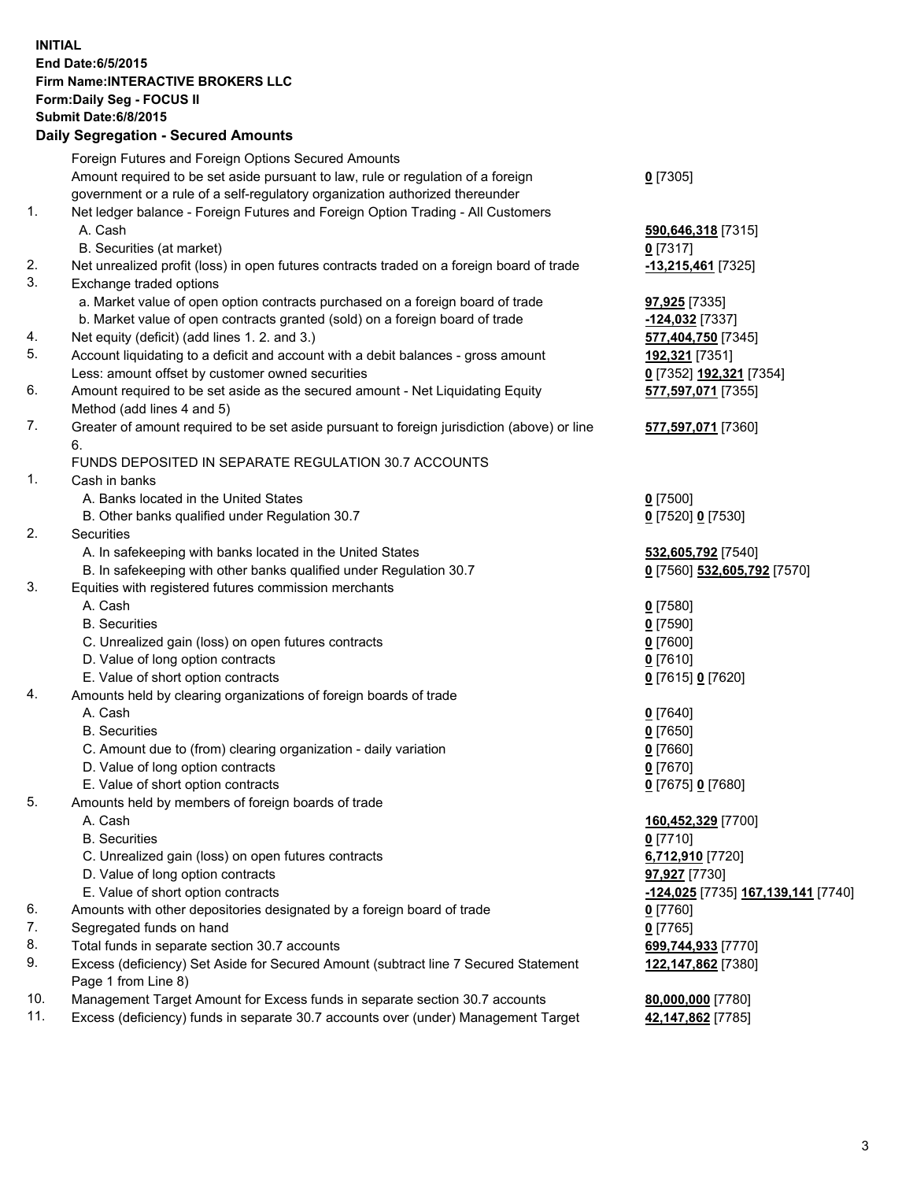## **INITIAL End Date:6/5/2015 Firm Name:INTERACTIVE BROKERS LLC Form:Daily Seg - FOCUS II Submit Date:6/8/2015 Daily Segregation - Secured Amounts**

|     | Foreign Futures and Foreign Options Secured Amounts                                         |                                                         |
|-----|---------------------------------------------------------------------------------------------|---------------------------------------------------------|
|     | Amount required to be set aside pursuant to law, rule or regulation of a foreign            | $0$ [7305]                                              |
|     | government or a rule of a self-regulatory organization authorized thereunder                |                                                         |
| 1.  | Net ledger balance - Foreign Futures and Foreign Option Trading - All Customers             |                                                         |
|     | A. Cash                                                                                     | 590,646,318 [7315]                                      |
|     | B. Securities (at market)                                                                   | $0$ [7317]                                              |
| 2.  | Net unrealized profit (loss) in open futures contracts traded on a foreign board of trade   | -13,215,461 [7325]                                      |
| 3.  | Exchange traded options                                                                     |                                                         |
|     | a. Market value of open option contracts purchased on a foreign board of trade              | 97,925 [7335]                                           |
|     | b. Market value of open contracts granted (sold) on a foreign board of trade                | -124,032 <sub>[7337]</sub>                              |
| 4.  | Net equity (deficit) (add lines 1.2. and 3.)                                                | 577,404,750 [7345]                                      |
| 5.  | Account liquidating to a deficit and account with a debit balances - gross amount           | 192,321 [7351]                                          |
|     | Less: amount offset by customer owned securities                                            | 0 [7352] 192,321 [7354]                                 |
| 6.  | Amount required to be set aside as the secured amount - Net Liquidating Equity              | 577,597,071 [7355]                                      |
|     | Method (add lines 4 and 5)                                                                  |                                                         |
| 7.  | Greater of amount required to be set aside pursuant to foreign jurisdiction (above) or line | 577,597,071 [7360]                                      |
|     | 6.                                                                                          |                                                         |
|     | FUNDS DEPOSITED IN SEPARATE REGULATION 30.7 ACCOUNTS                                        |                                                         |
| 1.  | Cash in banks                                                                               |                                                         |
|     | A. Banks located in the United States                                                       | $0$ [7500]                                              |
|     | B. Other banks qualified under Regulation 30.7                                              | 0 [7520] 0 [7530]                                       |
| 2.  | Securities                                                                                  |                                                         |
|     | A. In safekeeping with banks located in the United States                                   | 532,605,792 [7540]                                      |
|     | B. In safekeeping with other banks qualified under Regulation 30.7                          | 0 [7560] 532,605,792 [7570]                             |
| 3.  | Equities with registered futures commission merchants                                       |                                                         |
|     | A. Cash                                                                                     | $0$ [7580]                                              |
|     | <b>B.</b> Securities                                                                        | $0$ [7590]                                              |
|     |                                                                                             |                                                         |
|     | C. Unrealized gain (loss) on open futures contracts                                         | $0$ [7600]                                              |
|     | D. Value of long option contracts                                                           | $0$ [7610]                                              |
|     | E. Value of short option contracts                                                          | 0 [7615] 0 [7620]                                       |
| 4.  | Amounts held by clearing organizations of foreign boards of trade                           |                                                         |
|     | A. Cash                                                                                     | 0[7640]                                                 |
|     | <b>B.</b> Securities                                                                        | $0$ [7650]                                              |
|     | C. Amount due to (from) clearing organization - daily variation                             | $0$ [7660]                                              |
|     | D. Value of long option contracts                                                           | $0$ [7670]                                              |
|     | E. Value of short option contracts                                                          | 0 [7675] 0 [7680]                                       |
| 5.  | Amounts held by members of foreign boards of trade                                          |                                                         |
|     | A. Cash                                                                                     | 160,452,329 [7700]                                      |
|     | <b>B.</b> Securities                                                                        | $0$ [7710]                                              |
|     | C. Unrealized gain (loss) on open futures contracts                                         | 6,712,910 [7720]                                        |
|     | D. Value of long option contracts                                                           | 97,927 [7730]                                           |
|     | E. Value of short option contracts                                                          | <u>-<b>124,025</b></u> [7735] <u>167,139,141</u> [7740] |
| 6.  | Amounts with other depositories designated by a foreign board of trade                      | $0$ [7760]                                              |
| 7.  | Segregated funds on hand                                                                    | $0$ [7765]                                              |
| 8.  | Total funds in separate section 30.7 accounts                                               | 699,744,933 [7770]                                      |
| 9.  | Excess (deficiency) Set Aside for Secured Amount (subtract line 7 Secured Statement         | 122,147,862 [7380]                                      |
|     | Page 1 from Line 8)                                                                         |                                                         |
| 10. | Management Target Amount for Excess funds in separate section 30.7 accounts                 | 80,000,000 [7780]                                       |
| 11. | Excess (deficiency) funds in separate 30.7 accounts over (under) Management Target          | 42,147,862 [7785]                                       |
|     |                                                                                             |                                                         |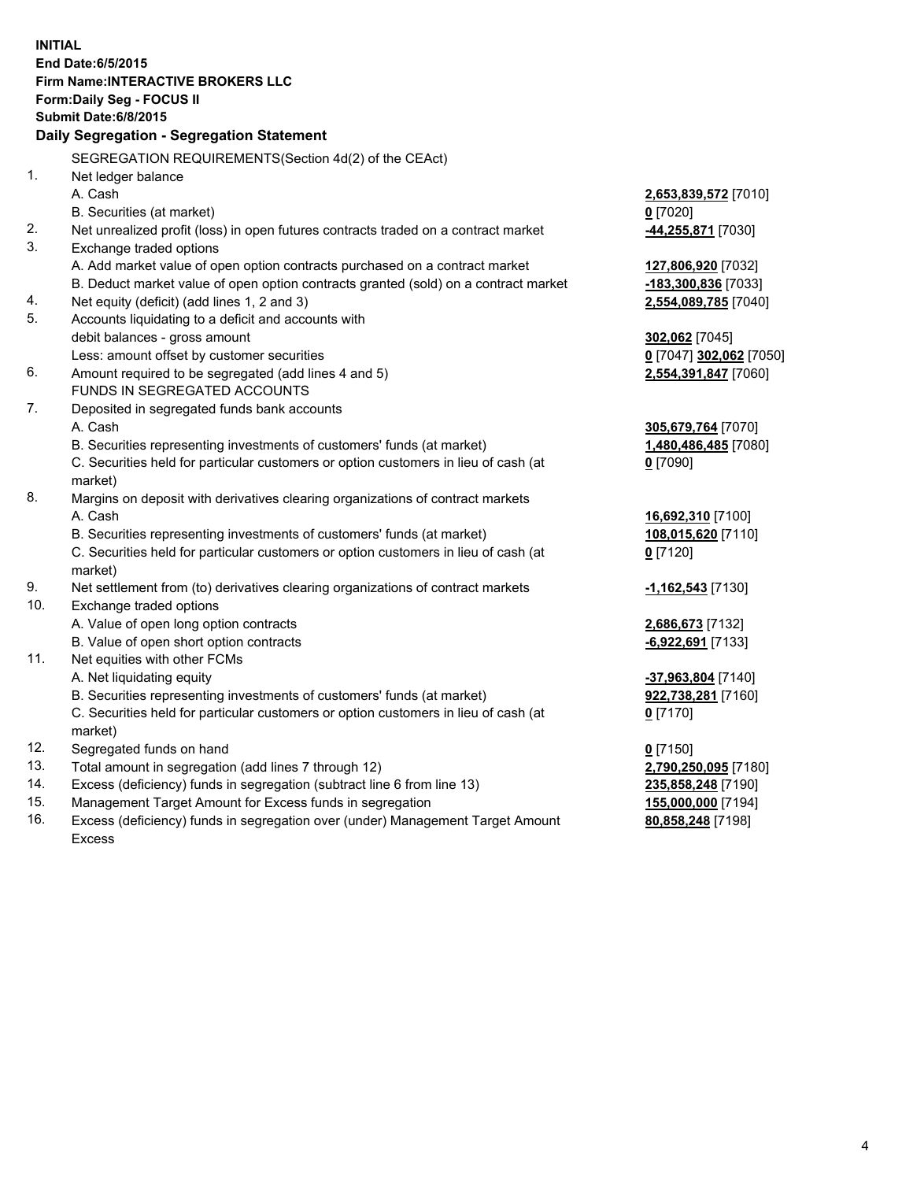**INITIAL End Date:6/5/2015 Firm Name:INTERACTIVE BROKERS LLC Form:Daily Seg - FOCUS II Submit Date:6/8/2015 Daily Segregation - Segregation Statement** SEGREGATION REQUIREMENTS(Section 4d(2) of the CEAct) 1. Net ledger balance A. Cash **2,653,839,572** [7010] B. Securities (at market) **0** [7020] 2. Net unrealized profit (loss) in open futures contracts traded on a contract market **-44,255,871** [7030] 3. Exchange traded options A. Add market value of open option contracts purchased on a contract market **127,806,920** [7032] B. Deduct market value of open option contracts granted (sold) on a contract market **-183,300,836** [7033] 4. Net equity (deficit) (add lines 1, 2 and 3) **2,554,089,785** [7040] 5. Accounts liquidating to a deficit and accounts with debit balances - gross amount **302,062** [7045] Less: amount offset by customer securities **0** [7047] **302,062** [7050] 6. Amount required to be segregated (add lines 4 and 5) **2,554,391,847** [7060] FUNDS IN SEGREGATED ACCOUNTS 7. Deposited in segregated funds bank accounts A. Cash **305,679,764** [7070] B. Securities representing investments of customers' funds (at market) **1,480,486,485** [7080] C. Securities held for particular customers or option customers in lieu of cash (at market) **0** [7090] 8. Margins on deposit with derivatives clearing organizations of contract markets A. Cash **16,692,310** [7100] B. Securities representing investments of customers' funds (at market) **108,015,620** [7110] C. Securities held for particular customers or option customers in lieu of cash (at market) **0** [7120] 9. Net settlement from (to) derivatives clearing organizations of contract markets **-1,162,543** [7130] 10. Exchange traded options A. Value of open long option contracts **2,686,673** [7132] B. Value of open short option contracts **-6,922,691** [7133] 11. Net equities with other FCMs A. Net liquidating equity **-37,963,804** [7140] B. Securities representing investments of customers' funds (at market) **922,738,281** [7160] C. Securities held for particular customers or option customers in lieu of cash (at market) **0** [7170] 12. Segregated funds on hand **0** [7150] 13. Total amount in segregation (add lines 7 through 12) **2,790,250,095** [7180] 14. Excess (deficiency) funds in segregation (subtract line 6 from line 13) **235,858,248** [7190] 15. Management Target Amount for Excess funds in segregation **155,000,000** [7194] **80,858,248** [7198]

16. Excess (deficiency) funds in segregation over (under) Management Target Amount Excess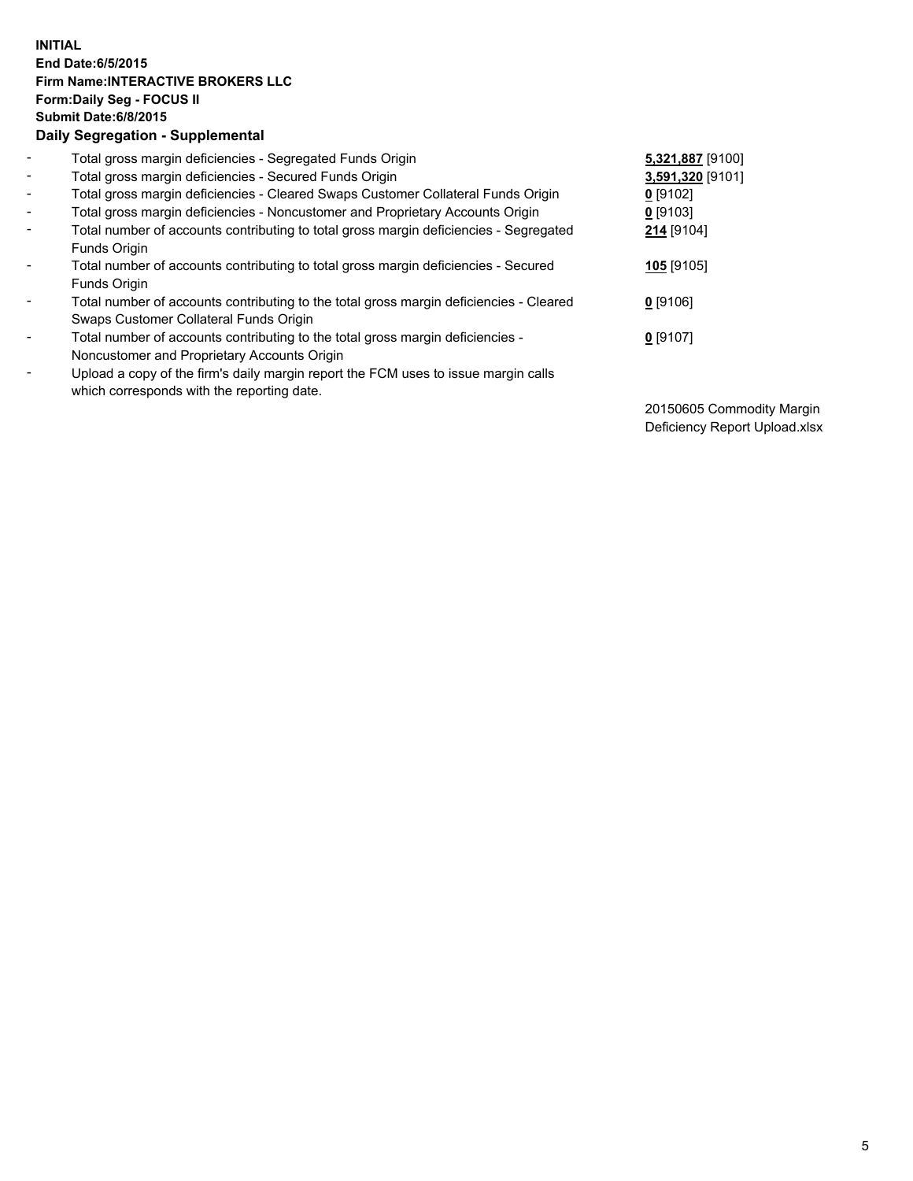## **INITIAL End Date:6/5/2015 Firm Name:INTERACTIVE BROKERS LLC Form:Daily Seg - FOCUS II Submit Date:6/8/2015 Daily Segregation - Supplemental**

| $\blacksquare$ | Total gross margin deficiencies - Segregated Funds Origin                                                                        | 5,321,887 [9100] |
|----------------|----------------------------------------------------------------------------------------------------------------------------------|------------------|
| $\blacksquare$ | Total gross margin deficiencies - Secured Funds Origin                                                                           | 3,591,320 [9101] |
| $\blacksquare$ | Total gross margin deficiencies - Cleared Swaps Customer Collateral Funds Origin                                                 | $0$ [9102]       |
| $\blacksquare$ | Total gross margin deficiencies - Noncustomer and Proprietary Accounts Origin                                                    | $0$ [9103]       |
| $\blacksquare$ | Total number of accounts contributing to total gross margin deficiencies - Segregated<br>Funds Origin                            | 214 [9104]       |
| $\blacksquare$ | Total number of accounts contributing to total gross margin deficiencies - Secured<br>Funds Origin                               | 105 [9105]       |
| $\blacksquare$ | Total number of accounts contributing to the total gross margin deficiencies - Cleared<br>Swaps Customer Collateral Funds Origin | $0$ [9106]       |
| ۰              | Total number of accounts contributing to the total gross margin deficiencies -<br>Noncustomer and Proprietary Accounts Origin    | $0$ [9107]       |
| $\blacksquare$ | Upload a copy of the firm's daily margin report the FCM uses to issue margin calls<br>which corresponds with the reporting date. |                  |

20150605 Commodity Margin Deficiency Report Upload.xlsx